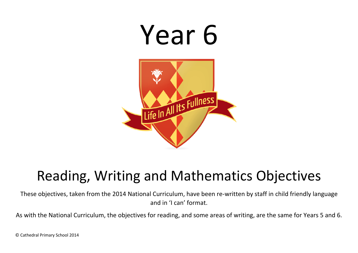

## Reading, Writing and Mathematics Objectives

These objectives, taken from the 2014 National Curriculum, have been re-written by staff in child friendly language and in 'I can' format.

As with the National Curriculum, the objectives for reading, and some areas of writing, are the same for Years 5 and 6.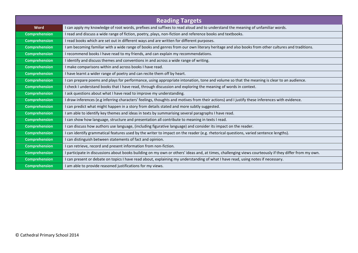| <b>Reading Targets</b> |                                                                                                                                                       |  |
|------------------------|-------------------------------------------------------------------------------------------------------------------------------------------------------|--|
| <b>Word</b>            | I can apply my knowledge of root words, prefixes and suffixes to read aloud and to understand the meaning of unfamiliar words.                        |  |
| <b>Comprehension</b>   | I read and discuss a wide range of fiction, poetry, plays, non-fiction and reference books and textbooks.                                             |  |
| <b>Comprehension</b>   | I read books which are set out in different ways and are written for different purposes.                                                              |  |
| <b>Comprehension</b>   | I am becoming familiar with a wide range of books and genres from our own literary heritage and also books from other cultures and traditions.        |  |
| <b>Comprehension</b>   | I recommend books I have read to my friends, and can explain my recommendations.                                                                      |  |
| <b>Comprehension</b>   | I identify and discuss themes and conventions in and across a wide range of writing.                                                                  |  |
| <b>Comprehension</b>   | I make comparisons within and across books I have read.                                                                                               |  |
| <b>Comprehension</b>   | I have learnt a wider range of poetry and can recite them off by heart.                                                                               |  |
| <b>Comprehension</b>   | I can prepare poems and plays for performance, using appropriate intonation, tone and volume so that the meaning is clear to an audience.             |  |
| <b>Comprehension</b>   | I check I understand books that I have read, through discussion and exploring the meaning of words in context.                                        |  |
| <b>Comprehension</b>   | I ask questions about what I have read to improve my understanding.                                                                                   |  |
| <b>Comprehension</b>   | I draw inferences (e.g inferring characters' feelings, thoughts and motives from their actions) and I justify these inferences with evidence.         |  |
| <b>Comprehension</b>   | I can predict what might happen in a story from details stated and more subtly suggested.                                                             |  |
| <b>Comprehension</b>   | I am able to identify key themes and ideas in texts by summarising several paragraphs I have read.                                                    |  |
| <b>Comprehension</b>   | I can show how language, structure and presentation all contribute to meaning in texts I read.                                                        |  |
| <b>Comprehension</b>   | I can discuss how authors use language, (including figurative language) and consider its impact on the reader.                                        |  |
| <b>Comprehension</b>   | I can identify grammatical features used by the writer to impact on the reader (e.g. rhetorical questions, varied sentence lengths).                  |  |
| <b>Comprehension</b>   | I can distinguish between statements of fact and opinion.                                                                                             |  |
| <b>Comprehension</b>   | I can retrieve, record and present information from non-fiction.                                                                                      |  |
| <b>Comprehension</b>   | I participate in discussions about books building on my own or others' ideas and, at times, challenging views courteously if they differ from my own. |  |
| <b>Comprehension</b>   | I can present or debate on topics I have read about, explaining my understanding of what I have read, using notes if necessary.                       |  |
| <b>Comprehension</b>   | I am able to provide reasoned justifications for my views.                                                                                            |  |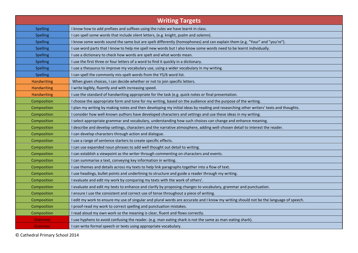| <b>Writing Targets</b> |                                                                                                                                       |  |
|------------------------|---------------------------------------------------------------------------------------------------------------------------------------|--|
| <b>Spelling</b>        | I know how to add prefixes and suffixes using the rules we have learnt in class.                                                      |  |
| <b>Spelling</b>        | I can spell some words that include silent letters, (e.g. knight, psalm and solemn).                                                  |  |
| <b>Spelling</b>        | I know some words sound the same but are spelt differently (homophones) and can explain them (e.g. "Your" and "you're").              |  |
| <b>Spelling</b>        | I use word parts that I know to help me spell new words but I also know some words need to be learnt individually.                    |  |
| <b>Spelling</b>        | I use a dictionary to check how words are spelt and what words mean.                                                                  |  |
| <b>Spelling</b>        | I use the first three or four letters of a word to find it quickly in a dictionary.                                                   |  |
| <b>Spelling</b>        | I use a thesaurus to improve my vocabulary use, using a wider vocabulary in my writing.                                               |  |
| <b>Spelling</b>        | I can spell the commonly mis-spelt words from the Y5/6 word list.                                                                     |  |
| Handwriting            | When given choices, I can decide whether or not to join specific letters.                                                             |  |
| <b>Handwriting</b>     | I write legibly, fluently and with increasing speed.                                                                                  |  |
| Handwriting            | I use the standard of handwriting appropriate for the task (e.g. quick notes or final presentation.                                   |  |
| Composition            | I choose the appropriate form and tone for my writing, based on the audience and the purpose of the writing.                          |  |
| Composition            | I plan my writing by making notes and then developing my initial ideas by reading and researching other writers' texts and thoughts.  |  |
| Composition            | I consider how well-known authors have developed characters and settings and use these ideas in my writing.                           |  |
| Composition            | I select appropriate grammar and vocabulary, understanding how such choices can change and enhance meaning.                           |  |
| Composition            | I describe and develop settings, characters and the narrative atmosphere, adding well-chosen detail to interest the reader.           |  |
| Composition            | I can develop characters through action and dialogue.                                                                                 |  |
| Composition            | I use a range of sentence starters to create specific effects.                                                                        |  |
| Composition            | I can use expanded noun phrases to add well thought out detail to writing.                                                            |  |
| Composition            | I can establish a viewpoint as the writer through commenting on characters and events.                                                |  |
| Composition            | I can summarise a text, conveying key information in writing.                                                                         |  |
| Composition            | I use themes and details across my texts to help link paragraphs together into a flow of text.                                        |  |
| Composition            | I use headings, bullet points and underlining to structure and guide a reader through my writing.                                     |  |
| Composition            | I evaluate and edit my work by comparing my texts with the work of others'.                                                           |  |
| Composition            | I evaluate and edit my texts to enhance and clarify by proposing changes to vocabulary, grammar and punctuation.                      |  |
| Composition            | I ensure I use the consistent and correct use of tense throughout a piece of writing.                                                 |  |
| Composition            | I edit my work to ensure my use of singular and plural words are accurate and I know my writing should not be the language of speech. |  |
| Composition            | I proof-read my work to correct spelling and punctuation mistakes.                                                                    |  |
| Composition            | I read aloud my own work so the meaning is clear, fluent and flows correctly.                                                         |  |
| Grammar                | I use hyphens to avoid confusing the reader. (e.g. man eating shark is not the same as man-eating shark).                             |  |
| Grammar                | I can write formal speech or texts using appropriate vocabulary.                                                                      |  |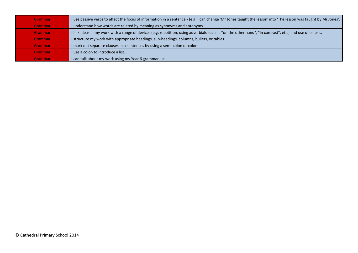| Grammar | I use passive verbs to affect the focus of information in a sentence - (e.g. I can change 'Mr Jones taught the lesson' into 'The lesson was taught by Mr Jones'. |
|---------|------------------------------------------------------------------------------------------------------------------------------------------------------------------|
| Grammar | I understand how words are related by meaning as synonyms and antonyms.                                                                                          |
| Grammar | I link ideas in my work with a range of devices (e.g. repetition, using adverbials such as "on the other hand", "in contrast", etc.) and use of ellipsis.        |
| Grammar | I structure my work with appropriate headings, sub-headings, columns, bullets, or tables.                                                                        |
| Grammar | I mark out separate clauses in a sentences by using a semi-colon or colon.                                                                                       |
| Grammar | I use a colon to introduce a list.                                                                                                                               |
| Grammar | I can talk about my work using my Year 6 grammar list.                                                                                                           |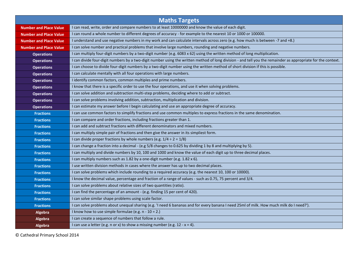| <b>Maths Targets</b>          |                                                                                                                                                              |  |
|-------------------------------|--------------------------------------------------------------------------------------------------------------------------------------------------------------|--|
| <b>Number and Place Value</b> | I can read, write, order and compare numbers to at least 10000000 and know the value of each digit.                                                          |  |
| <b>Number and Place Value</b> | I can round a whole number to different degrees of accuracy - for example to the nearest 10 or 1000 or 100000.                                               |  |
| <b>Number and Place Value</b> | I understand and use negative numbers in my work and can calculate intervals across zero (e.g. how much is between -7 and +8.)                               |  |
| <b>Number and Place Value</b> | I can solve number and practical problems that involve large numbers, rounding and negative numbers.                                                         |  |
| <b>Operations</b>             | I can multiply four-digit numbers by a two-digit number (e.g. 6083 x 62) using the written method of long multiplication.                                    |  |
| <b>Operations</b>             | I can divide four-digit numbers by a two-digit number using the written method of long division - and tell you the remainder as appropriate for the context. |  |
| <b>Operations</b>             | I can choose to divide four-digit numbers by a two-digit number using the written method of short division if this is possible.                              |  |
| <b>Operations</b>             | I can calculate mentally with all four operations with large numbers.                                                                                        |  |
| <b>Operations</b>             | I identify common factors, common multiples and prime numbers.                                                                                               |  |
| <b>Operations</b>             | I know that there is a specific order to use the four operations, and use it when solving problems.                                                          |  |
| <b>Operations</b>             | I can solve addition and subtraction multi-step problems, deciding where to add or subtract.                                                                 |  |
| <b>Operations</b>             | I can solve problems involving addition, subtraction, multiplication and division.                                                                           |  |
| <b>Operations</b>             | I can estimate my answer before I begin calculating and use an appropriate degree of accuracy.                                                               |  |
| <b>Fractions</b>              | I can use common factors to simplify fractions and use common multiples to express fractions in the same denomination.                                       |  |
| <b>Fractions</b>              | I can compare and order fractions, including fractions greater than 1.                                                                                       |  |
| <b>Fractions</b>              | I can add and subtract fractions with different denominators and mixed numbers.                                                                              |  |
| <b>Fractions</b>              | I can multiply simple pair of fractions and then give the answer in its simpliest form.                                                                      |  |
| <b>Fractions</b>              | I can divide proper fractions by whole numbers (e.g. $1/4 \div 2 = 1/8$ )                                                                                    |  |
| <b>Fractions</b>              | I can change a fraction into a decimal - (e.g 5/8 changes to 0.625 by dividing 1 by 8 and multiplying by 5).                                                 |  |
| <b>Fractions</b>              | I can multiply and divide numbers by 10, 100 and 1000 and know the value of each digit up to three decimal places.                                           |  |
| <b>Fractions</b>              | I can multiply numbers such as 1.82 by a one-digit number (e.g. 1.82 x 6).                                                                                   |  |
| <b>Fractions</b>              | I use written division methods in cases where the answer has up to two decimal places.                                                                       |  |
| <b>Fractions</b>              | I can solve problems which include rounding to a required accuracy (e.g. the nearest 10, 100 or 10000).                                                      |  |
| <b>Fractions</b>              | I know the decimal value, percentage and fraction of a range of values - such as 0.75, 75 percent and 3/4.                                                   |  |
| <b>Fractions</b>              | I can solve problems about relative sizes of two quantities (ratio).                                                                                         |  |
| <b>Fractions</b>              | I can find the percentage of an amount - (e.g. finding 15 per cent of 420).                                                                                  |  |
| <b>Fractions</b>              | I can solve similar shape problems using scale factor.                                                                                                       |  |
| <b>Fractions</b>              | I can solve problems about unequal sharing (e.g. 'I need 6 bananas and for every banana I need 25ml of milk. How much milk do I need?').                     |  |
| Algebra                       | I know how to use simple formulae (e.g. n - 10 = 2.)                                                                                                         |  |
| Algebra                       | I can create a sequence of numbers that follow a rule.                                                                                                       |  |
| Algebra                       | I can use a letter (e.g. n or x) to show a missing number (e.g. $12 - x = 4$ ).                                                                              |  |